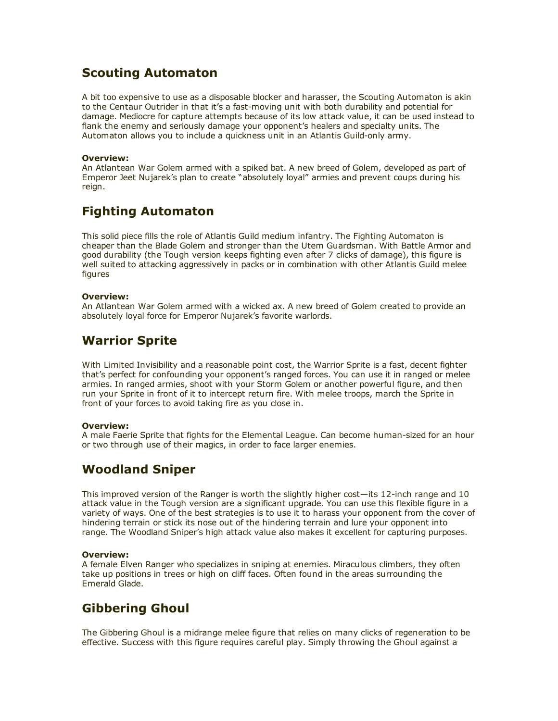# Scouting Automaton

A bit too expensive to use as a disposable blocker and harasser, the Scouting Automaton is akin to the Centaur Outrider in that it's a fast-moving unit with both durability and potential for damage. Mediocre for capture attempts because of its low attack value, it can be used instead to flank the enemy and seriously damage your opponent's healers and specialty units. The Automaton allows you to include a quickness unit in an Atlantis Guild-only army.

### Overview:

An Atlantean War Golem armed with a spiked bat. A new breed of Golem, developed as part of Emperor Jeet Nujarek's plan to create "absolutely loyal" armies and prevent coups during his reign.

# Fighting Automaton

This solid piece fills the role of Atlantis Guild medium infantry. The Fighting Automaton is cheaper than the Blade Golem and stronger than the Utem Guardsman. With Battle Armor and good durability (the Tough version keeps fighting even after 7 clicks of damage), this figure is well suited to attacking aggressively in packs or in combination with other Atlantis Guild melee figures

#### Overview:

An Atlantean War Golem armed with a wicked ax. A new breed of Golem created to provide an absolutely loyal force for Emperor Nujarek's favorite warlords.

# Warrior Sprite

With Limited Invisibility and a reasonable point cost, the Warrior Sprite is a fast, decent fighter that's perfect for confounding your opponent's ranged forces. You can use it in ranged or melee armies. In ranged armies, shoot with your Storm Golem or another powerful figure, and then run your Sprite in front of it to intercept return fire. With melee troops, march the Sprite in front of your forces to avoid taking fire as you close in.

### Overview:

A male Faerie Sprite that fights for the Elemental League. Can become human-sized for an hour or two through use of their magics, in order to face larger enemies.

# Woodland Sniper

This improved version of the Ranger is worth the slightly higher cost—its  $12$ -inch range and  $10$ attack value in the Tough version are a significant upgrade. You can use this flexible figure in a variety of ways. One of the best strategies is to use it to harass your opponent from the cover of hindering terrain or stick its nose out of the hindering terrain and lure your opponent into range. The Woodland Sniper's high attack value also makes it excellent for capturing purposes.

### Overview:

A female Elven Ranger who specializes in sniping at enemies. Miraculous climbers, they often take up positions in trees or high on cliff faces. Often found in the areas surrounding the Emerald Glade.

# Gibbering Ghoul

The Gibbering Ghoul is a midrange melee figure that relies on many clicks of regeneration to be effective. Success with this figure requires careful play. Simply throwing the Ghoul against a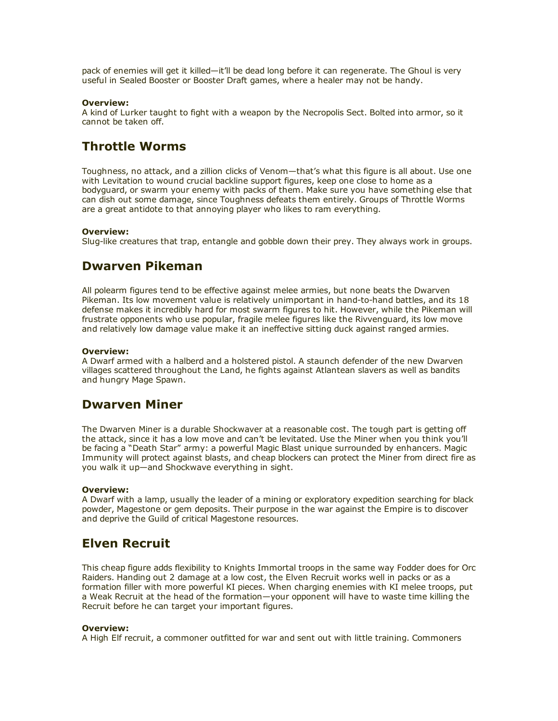pack of enemies will get it killed—it'll be dead long before it can regenerate. The Ghoul is very useful in Sealed Booster or Booster Draft games, where a healer may not be handy.

#### Overview:

A kind of Lurker taught to fight with a weapon by the Necropolis Sect. Bolted into armor, so it cannot be taken off.

# Throttle Worms

Toughness, no attack, and a zillion clicks of Venom—that's what this figure is all about. Use one with Levitation to wound crucial backline support figures, keep one close to home as a bodyguard, or swarm your enemy with packs of them. Make sure you have something else that can dish out some damage, since Toughness defeats them entirely. Groups of Throttle Worms are a great antidote to that annoying player who likes to ram everything.

#### Overview:

Slug-like creatures that trap, entangle and gobble down their prey. They always work in groups.

### Dwarven Pikeman

All polearm figures tend to be effective against melee armies, but none beats the Dwarven Pikeman. Its low movement value is relatively unimportant in hand-to-hand battles, and its 18 defense makes it incredibly hard for most swarm figures to hit. However, while the Pikeman will frustrate opponents who use popular, fragile melee figures like the Rivvenguard, its low move and relatively low damage value make it an ineffective sitting duck against ranged armies.

#### Overview:

A Dwarf armed with a halberd and a holstered pistol. A staunch defender of the new Dwarven villages scattered throughout the Land, he fights against Atlantean slavers as well as bandits and hungry Mage Spawn.

### Dwarven Miner

The Dwarven Miner is a durable Shockwaver at a reasonable cost. The tough part is getting off the attack, since it has a low move and can't be levitated. Use the Miner when you think you'll be facing a "Death Star" army: a powerful Magic Blast unique surrounded by enhancers. Magic Immunity will protect against blasts, and cheap blockers can protect the Miner from direct fire as you walk it up—and Shockwave everything in sight.

#### Overview:

A Dwarf with a lamp, usually the leader of a mining or exploratory expedition searching for black powder, Magestone or gem deposits. Their purpose in the war against the Empire is to discover and deprive the Guild of critical Magestone resources.

### Elven Recruit

This cheap figure adds flexibility to Knights Immortal troops in the same way Fodder does for Orc Raiders. Handing out 2 damage at a low cost, the Elven Recruit works well in packs or as a formation filler with more powerful KI pieces. When charging enemies with KI melee troops, put a Weak Recruit at the head of the formation—your opponent will have to waste time killing the Recruit before he can target your important figures.

#### Overview:

A High Elf recruit, a commoner outfitted for war and sent out with little training. Commoners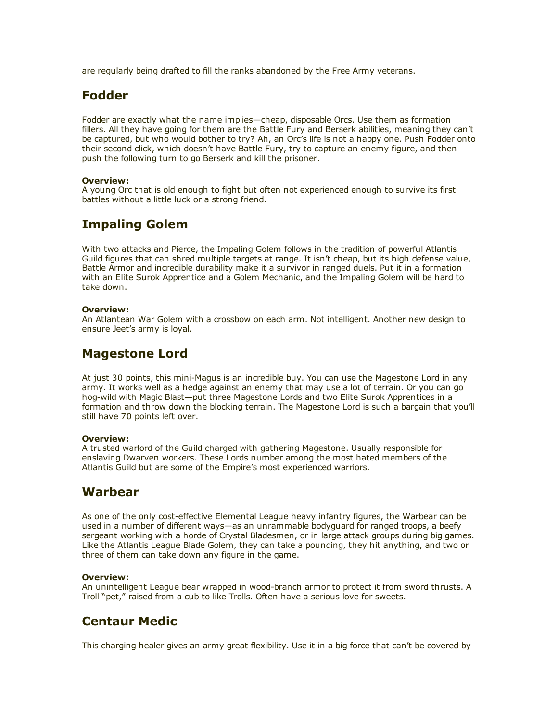are regularly being drafted to fill the ranks abandoned by the Free Army veterans.

# Fodder

Fodder are exactly what the name implies—cheap, disposable Orcs. Use them as formation fillers. All they have going for them are the Battle Fury and Berserk abilities, meaning they can't be captured, but who would bother to try? Ah, an Orc's life is not a happy one. Push Fodder onto their second click, which doesn't have Battle Fury, try to capture an enemy figure, and then push the following turn to go Berserk and kill the prisoner.

### Overview:

A young Orc that is old enough to fight but often not experienced enough to survive its first battles without a little luck or a strong friend.

# Impaling Golem

With two attacks and Pierce, the Impaling Golem follows in the tradition of powerful Atlantis Guild figures that can shred multiple targets at range. It isn't cheap, but its high defense value, Battle Armor and incredible durability make it a survivor in ranged duels. Put it in a formation with an Elite Surok Apprentice and a Golem Mechanic, and the Impaling Golem will be hard to take down.

### Overview:

An Atlantean War Golem with a crossbow on each arm. Not intelligent. Another new design to ensure Jeet's army is loyal.

## Magestone Lord

At just 30 points, this mini-Magus is an incredible buy. You can use the Magestone Lord in any army. It works well as a hedge against an enemy that may use a lot of terrain. Or you can go hog-wild with Magic Blast—put three Magestone Lords and two Elite Surok Apprentices in a formation and throw down the blocking terrain. The Magestone Lord is such a bargain that you'll still have 70 points left over.

#### Overview:

A trusted warlord of the Guild charged with gathering Magestone. Usually responsible for enslaving Dwarven workers. These Lords number among the most hated members of the Atlantis Guild but are some of the Empire's most experienced warriors.

# Warbear

As one of the only cost-effective Elemental League heavy infantry figures, the Warbear can be used in a number of different ways—as an unrammable bodyguard for ranged troops, a beefy sergeant working with a horde of Crystal Bladesmen, or in large attack groups during big games. Like the Atlantis League Blade Golem, they can take a pounding, they hit anything, and two or three of them can take down any figure in the game.

### Overview:

An unintelligent League bear wrapped in wood-branch armor to protect it from sword thrusts. A Troll "pet," raised from a cub to like Trolls. Often have a serious love for sweets.

## Centaur Medic

This charging healer gives an army great flexibility. Use it in a big force that can't be covered by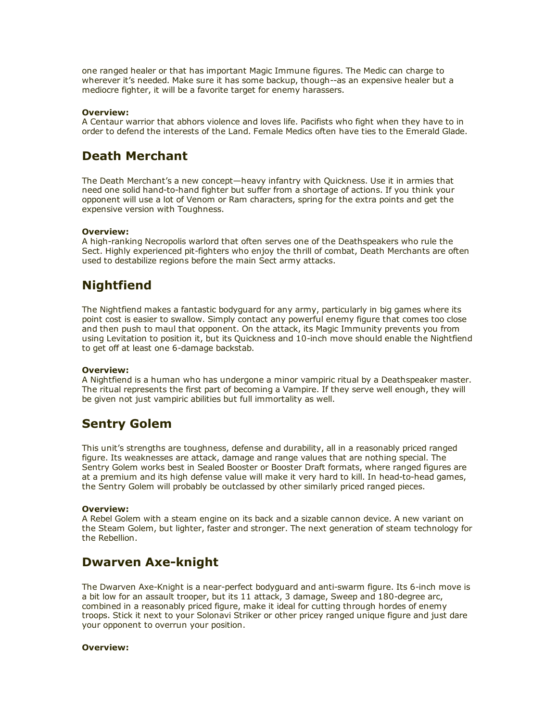one ranged healer or that has important Magic Immune figures. The Medic can charge to wherever it's needed. Make sure it has some backup, though--as an expensive healer but a mediocre fighter, it will be a favorite target for enemy harassers.

#### Overview:

A Centaur warrior that abhors violence and loves life. Pacifists who fight when they have to in order to defend the interests of the Land. Female Medics often have ties to the Emerald Glade.

## Death Merchant

The Death Merchant's a new concept—heavy infantry with Quickness. Use it in armies that need one solid hand-to-hand fighter but suffer from a shortage of actions. If you think your opponent will use a lot of Venom or Ram characters, spring for the extra points and get the expensive version with Toughness.

### Overview:

A high-ranking Necropolis warlord that often serves one of the Deathspeakers who rule the Sect. Highly experienced pit-fighters who enjoy the thrill of combat, Death Merchants are often used to destabilize regions before the main Sect army attacks.

# Nightfiend

The Nightfiend makes a fantastic bodyguard for any army, particularly in big games where its point cost is easier to swallow. Simply contact any powerful enemy figure that comes too close and then push to maul that opponent. On the attack, its Magic Immunity prevents you from using Levitation to position it, but its Quickness and 10-inch move should enable the Nightfiend to get off at least one 6-damage backstab.

#### Overview:

A Nightfiend is a human who has undergone a minor vampiric ritual by a Deathspeaker master. The ritual represents the first part of becoming a Vampire. If they serve well enough, they will be given not just vampiric abilities but full immortality as well.

# Sentry Golem

This unit's strengths are toughness, defense and durability, all in a reasonably priced ranged figure. Its weaknesses are attack, damage and range values that are nothing special. The Sentry Golem works best in Sealed Booster or Booster Draft formats, where ranged figures are at a premium and its high defense value will make it very hard to kill. In head-to-head games, the Sentry Golem will probably be outclassed by other similarly priced ranged pieces.

#### Overview:

A Rebel Golem with a steam engine on its back and a sizable cannon device. A new variant on the Steam Golem, but lighter, faster and stronger. The next generation of steam technology for the Rebellion.

## Dwarven Axe-knight

The Dwarven Axe-Knight is a near-perfect bodyguard and anti-swarm figure. Its 6-inch move is a bit low for an assault trooper, but its 11 attack, 3 damage, Sweep and 180-degree arc, combined in a reasonably priced figure, make it ideal for cutting through hordes of enemy troops. Stick it next to your Solonavi Striker or other pricey ranged unique figure and just dare your opponent to overrun your position.

#### Overview: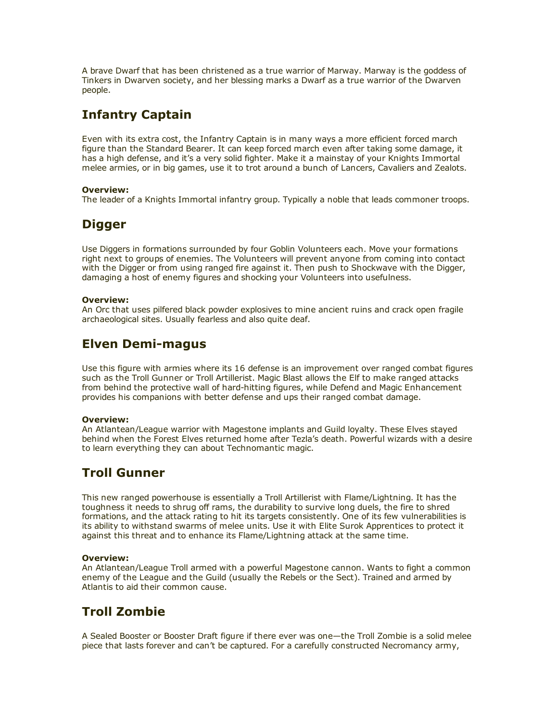A brave Dwarf that has been christened as a true warrior of Marway. Marway is the goddess of Tinkers in Dwarven society, and her blessing marks a Dwarf as a true warrior of the Dwarven people.

# Infantry Captain

Even with its extra cost, the Infantry Captain is in many ways a more efficient forced march figure than the Standard Bearer. It can keep forced march even after taking some damage, it has a high defense, and it's a very solid fighter. Make it a mainstay of your Knights Immortal melee armies, or in big games, use it to trot around a bunch of Lancers, Cavaliers and Zealots.

### Overview:

The leader of a Knights Immortal infantry group. Typically a noble that leads commoner troops.

# **Digger**

Use Diggers in formations surrounded by four Goblin Volunteers each. Move your formations right next to groups of enemies. The Volunteers will prevent anyone from coming into contact with the Digger or from using ranged fire against it. Then push to Shockwave with the Digger, damaging a host of enemy figures and shocking your Volunteers into usefulness.

### Overview:

An Orc that uses pilfered black powder explosives to mine ancient ruins and crack open fragile archaeological sites. Usually fearless and also quite deaf.

# **Elven Demi-magus**

Use this figure with armies where its 16 defense is an improvement over ranged combat figures such as the Troll Gunner or Troll Artillerist. Magic Blast allows the Elf to make ranged attacks from behind the protective wall of hard-hitting figures, while Defend and Magic Enhancement provides his companions with better defense and ups their ranged combat damage.

### Overview:

An Atlantean/League warrior with Magestone implants and Guild loyalty. These Elves stayed behind when the Forest Elves returned home after Tezla's death. Powerful wizards with a desire to learn everything they can about Technomantic magic.

# Troll Gunner

This new ranged powerhouse is essentially a Troll Artillerist with Flame/Lightning. It has the toughness it needs to shrug off rams, the durability to survive long duels, the fire to shred formations, and the attack rating to hit its targets consistently. One of its few vulnerabilities is its ability to withstand swarms of melee units. Use it with Elite Surok Apprentices to protect it against this threat and to enhance its Flame/Lightning attack at the same time.

### Overview:

An Atlantean/League Troll armed with a powerful Magestone cannon. Wants to fight a common enemy of the League and the Guild (usually the Rebels or the Sect). Trained and armed by Atlantis to aid their common cause.

# Troll Zombie

A Sealed Booster or Booster Draft figure if there ever was one—the Troll Zombie is a solid melee piece that lasts forever and can't be captured. For a carefully constructed Necromancy army,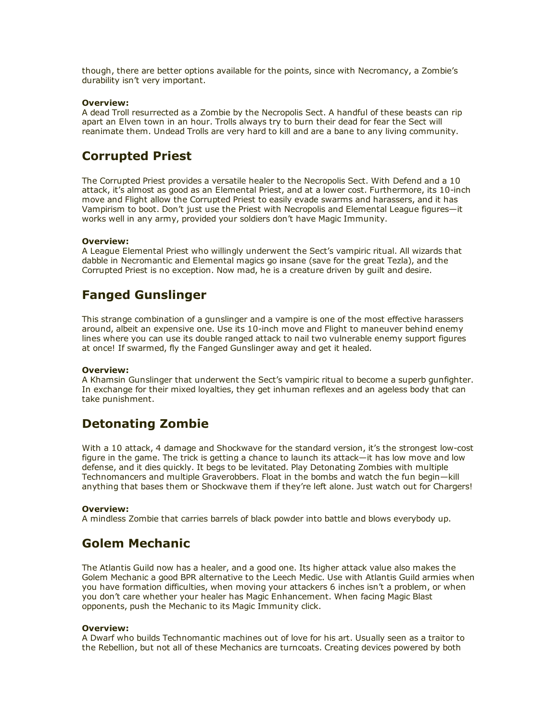though, there are better options available for the points, since with Necromancy, a Zombie's durability isn't very important.

#### Overview:

A dead Troll resurrected as a Zombie by the Necropolis Sect. A handful of these beasts can rip apart an Elven town in an hour. Trolls always try to burn their dead for fear the Sect will reanimate them. Undead Trolls are very hard to kill and are a bane to any living community.

### Corrupted Priest

The Corrupted Priest provides a versatile healer to the Necropolis Sect. With Defend and a 10 attack, it's almost as good as an Elemental Priest, and at a lower cost. Furthermore, its 10-inch move and Flight allow the Corrupted Priest to easily evade swarms and harassers, and it has Vampirism to boot. Don't just use the Priest with Necropolis and Elemental League figures—it works well in any army, provided your soldiers don't have Magic Immunity.

#### Overview:

A League Elemental Priest who willingly underwent the Sect's vampiric ritual. All wizards that dabble in Necromantic and Elemental magics go insane (save for the great Tezla), and the Corrupted Priest is no exception. Now mad, he is a creature driven by guilt and desire.

# Fanged Gunslinger

This strange combination of a gunslinger and a vampire is one of the most effective harassers around, albeit an expensive one. Use its 10-inch move and Flight to maneuver behind enemy lines where you can use its double ranged attack to nail two vulnerable enemy support figures at once! If swarmed, fly the Fanged Gunslinger away and get it healed.

#### Overview:

A Khamsin Gunslinger that underwent the Sect's vampiric ritual to become a superb gunfighter. In exchange for their mixed loyalties, they get inhuman reflexes and an ageless body that can take punishment.

## Detonating Zombie

With a 10 attack, 4 damage and Shockwave for the standard version, it's the strongest low-cost figure in the game. The trick is getting a chance to launch its attack—it has low move and low defense, and it dies quickly. It begs to be levitated. Play Detonating Zombies with multiple Technomancers and multiple Graverobbers. Float in the bombs and watch the fun begin—kill anything that bases them or Shockwave them if they're left alone. Just watch out for Chargers!

#### Overview:

A mindless Zombie that carries barrels of black powder into battle and blows everybody up.

### Golem Mechanic

The Atlantis Guild now has a healer, and a good one. Its higher attack value also makes the Golem Mechanic a good BPR alternative to the Leech Medic. Use with Atlantis Guild armies when you have formation difficulties, when moving your attackers 6 inches isn't a problem, or when you don't care whether your healer has Magic Enhancement. When facing Magic Blast opponents, push the Mechanic to its Magic Immunity click.

#### Overview:

A Dwarf who builds Technomantic machines out of love for his art. Usually seen as a traitor to the Rebellion, but not all of these Mechanics are turncoats. Creating devices powered by both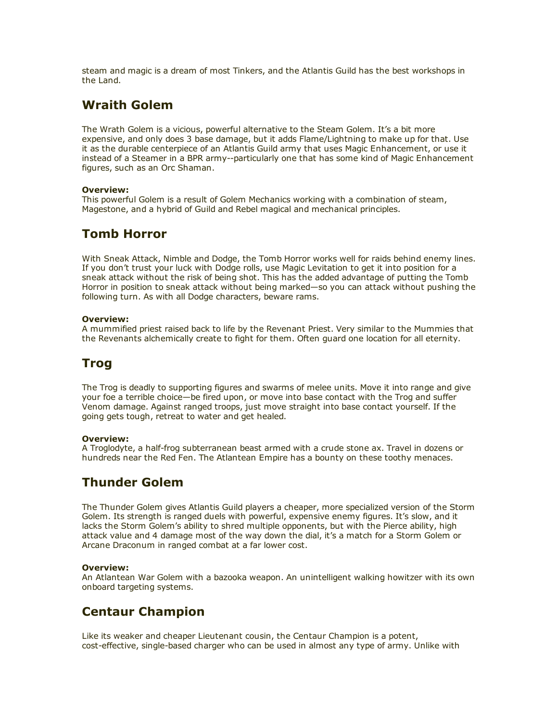steam and magic is a dream of most Tinkers, and the Atlantis Guild has the best workshops in the Land.

# Wraith Golem

The Wrath Golem is a vicious, powerful alternative to the Steam Golem. It's a bit more expensive, and only does 3 base damage, but it adds Flame/Lightning to make up for that. Use it as the durable centerpiece of an Atlantis Guild army that uses Magic Enhancement, or use it instead of a Steamer in a BPR army--particularly one that has some kind of Magic Enhancement figures, such as an Orc Shaman.

### Overview:

This powerful Golem is a result of Golem Mechanics working with a combination of steam, Magestone, and a hybrid of Guild and Rebel magical and mechanical principles.

# Tomb Horror

With Sneak Attack, Nimble and Dodge, the Tomb Horror works well for raids behind enemy lines. If you don't trust your luck with Dodge rolls, use Magic Levitation to get it into position for a sneak attack without the risk of being shot. This has the added advantage of putting the Tomb Horror in position to sneak attack without being marked—so you can attack without pushing the following turn. As with all Dodge characters, beware rams.

### Overview:

A mummified priest raised back to life by the Revenant Priest. Very similar to the Mummies that the Revenants alchemically create to fight for them. Often guard one location for all eternity.

# Trog

The Trog is deadly to supporting figures and swarms of melee units. Move it into range and give your foe a terrible choice—be fired upon, or move into base contact with the Trog and suffer Venom damage. Against ranged troops, just move straight into base contact yourself. If the going gets tough, retreat to water and get healed.

#### Overview:

A Troglodyte, a half-frog subterranean beast armed with a crude stone ax. Travel in dozens or hundreds near the Red Fen. The Atlantean Empire has a bounty on these toothy menaces.

# Thunder Golem

The Thunder Golem gives Atlantis Guild players a cheaper, more specialized version of the Storm Golem. Its strength is ranged duels with powerful, expensive enemy figures. It's slow, and it lacks the Storm Golem's ability to shred multiple opponents, but with the Pierce ability, high attack value and 4 damage most of the way down the dial, it's a match for a Storm Golem or Arcane Draconum in ranged combat at a far lower cost.

### Overview:

An Atlantean War Golem with a bazooka weapon. An unintelligent walking howitzer with its own onboard targeting systems.

# Centaur Champion

Like its weaker and cheaper Lieutenant cousin, the Centaur Champion is a potent, cost-effective, single-based charger who can be used in almost any type of army. Unlike with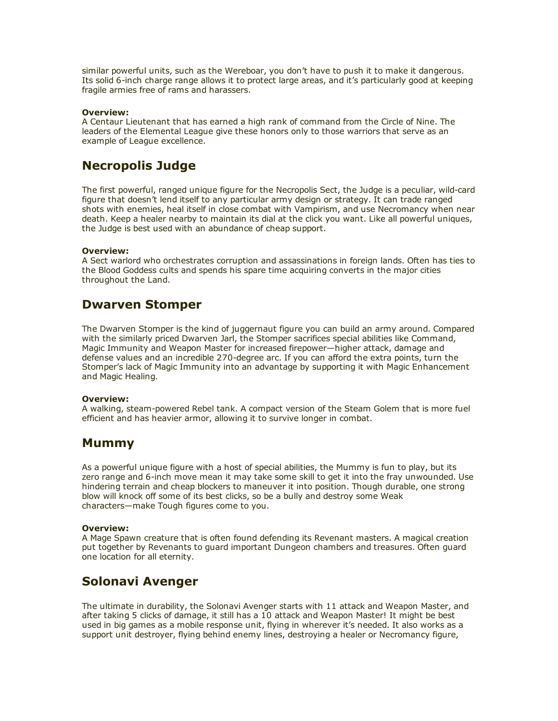similar powerful units, such as the Wereboar, you don't have to push it to make it dangerous. Its solid 6-inch charge range allows it to protect large areas, and it's particularly good at keeping fragile armies free of rams and harassers.

#### Overview:

A Centaur Lieutenant that has earned a high rank of command from the Circle of Nine. The leaders of the Elemental League give these honors only to those warriors that serve as an example of League excellence.

## Necropolis Judge

The first powerful, ranged unique figure for the Necropolis Sect, the Judge is a peculiar, wild-card figure that doesn't lend itself to any particular army design or strategy. It can trade ranged shots with enemies, heal itself in close combat with Vampirism, and use Necromancy when near death. Keep a healer nearby to maintain its dial at the click you want. Like all powerful uniques, the Judge is best used with an abundance of cheap support.

#### Overview:

A Sect warlord who orchestrates corruption and assassinations in foreign lands. Often has ties to the Blood Goddess cults and spends his spare time acquiring converts in the major cities throughout the Land.

## Dwarven Stomper

The Dwarven Stomper is the kind of juggernaut figure you can build an army around. Compared with the similarly priced Dwarven Jarl, the Stomper sacrifices special abilities like Command, Magic Immunity and Weapon Master for increased firepower—higher attack, damage and defense values and an incredible 270-degree arc. If you can afford the extra points, turn the Stomper's lack of Magic Immunity into an advantage by supporting it with Magic Enhancement and Magic Healing.

#### Overview:

A walking, steam-powered Rebel tank. A compact version of the Steam Golem that is more fuel efficient and has heavier armor, allowing it to survive longer in combat.

### Mummy

As a powerful unique figure with a host of special abilities, the Mummy is fun to play, but its zero range and 6-inch move mean it may take some skill to get it into the fray unwounded. Use hindering terrain and cheap blockers to maneuver it into position. Though durable, one strong blow will knock off some of its best clicks, so be a bully and destroy some Weak characters—make Tough figures come to you.

#### Overview:

A Mage Spawn creature that is often found defending its Revenant masters. A magical creation put together by Revenants to guard important Dungeon chambers and treasures. Often guard one location for all eternity.

# Solonavi Avenger

The ultimate in durability, the Solonavi Avenger starts with 11 attack and Weapon Master, and after taking 5 clicks of damage, it still has a 10 attack and Weapon Master! It might be best used in big games as a mobile response unit, flying in wherever it's needed. It also works as a support unit destroyer, flying behind enemy lines, destroying a healer or Necromancy figure,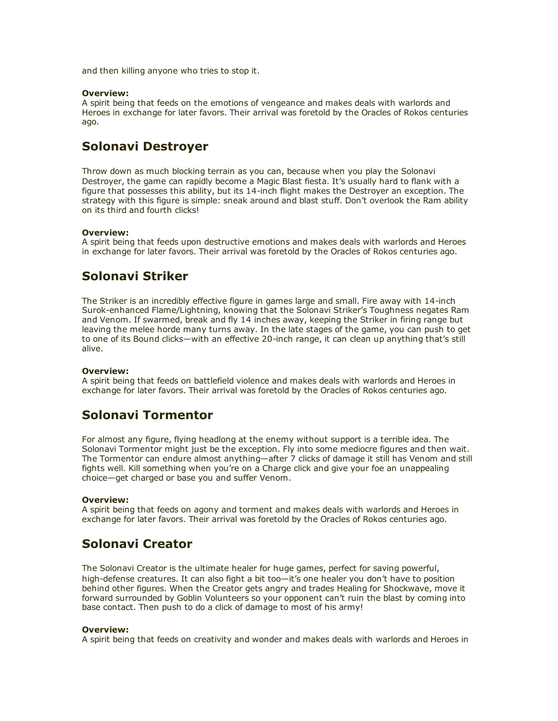and then killing anyone who tries to stop it.

#### Overview:

A spirit being that feeds on the emotions of vengeance and makes deals with warlords and Heroes in exchange for later favors. Their arrival was foretold by the Oracles of Rokos centuries ago.

# Solonavi Destroyer

Throw down as much blocking terrain as you can, because when you play the Solonavi Destroyer, the game can rapidly become a Magic Blast fiesta. It's usually hard to flank with a figure that possesses this ability, but its 14-inch flight makes the Destroyer an exception. The strategy with this figure is simple: sneak around and blast stuff. Don't overlook the Ram ability on its third and fourth clicks!

#### Overview:

A spirit being that feeds upon destructive emotions and makes deals with warlords and Heroes in exchange for later favors. Their arrival was foretold by the Oracles of Rokos centuries ago.

# Solonavi Striker

The Striker is an incredibly effective figure in games large and small. Fire away with 14-inch Surokenhanced Flame/Lightning, knowing that the Solonavi Striker's Toughness negates Ram and Venom. If swarmed, break and fly 14 inches away, keeping the Striker in firing range but leaving the melee horde many turns away. In the late stages of the game, you can push to get to one of its Bound clicks—with an effective 20-inch range, it can clean up anything that's still alive.

#### Overview:

A spirit being that feeds on battlefield violence and makes deals with warlords and Heroes in exchange for later favors. Their arrival was foretold by the Oracles of Rokos centuries ago.

# Solonavi Tormentor

For almost any figure, flying headlong at the enemy without support is a terrible idea. The Solonavi Tormentor might just be the exception. Fly into some mediocre figures and then wait. The Tormentor can endure almost anything—after 7 clicks of damage it still has Venom and still fights well. Kill something when you're on a Charge click and give your foe an unappealing choice—get charged or base you and suffer Venom.

#### Overview:

A spirit being that feeds on agony and torment and makes deals with warlords and Heroes in exchange for later favors. Their arrival was foretold by the Oracles of Rokos centuries ago.

## Solonavi Creator

The Solonavi Creator is the ultimate healer for huge games, perfect for saving powerful, high-defense creatures. It can also fight a bit too—it's one healer you don't have to position behind other figures. When the Creator gets angry and trades Healing for Shockwave, move it forward surrounded by Goblin Volunteers so your opponent can't ruin the blast by coming into base contact. Then push to do a click of damage to most of his army!

#### Overview:

A spirit being that feeds on creativity and wonder and makes deals with warlords and Heroes in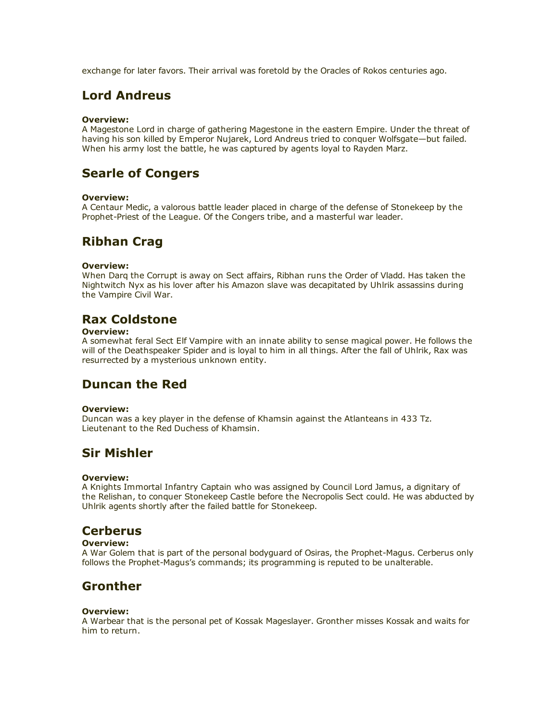exchange for later favors. Their arrival was foretold by the Oracles of Rokos centuries ago.

# Lord Andreus

### Overview:

A Magestone Lord in charge of gathering Magestone in the eastern Empire. Under the threat of having his son killed by Emperor Nujarek, Lord Andreus tried to conquer Wolfsgate—but failed. When his army lost the battle, he was captured by agents loyal to Rayden Marz.

# Searle of Congers

### Overview:

A Centaur Medic, a valorous battle leader placed in charge of the defense of Stonekeep by the Prophet-Priest of the League. Of the Congers tribe, and a masterful war leader.

## Ribhan Crag

### Overview:

When Darq the Corrupt is away on Sect affairs, Ribhan runs the Order of Vladd. Has taken the Nightwitch Nyx as his lover after his Amazon slave was decapitated by Uhlrik assassins during the Vampire Civil War.

# Rax Coldstone

### Overview:

A somewhat feral Sect Elf Vampire with an innate ability to sense magical power. He follows the will of the Deathspeaker Spider and is loyal to him in all things. After the fall of Uhlrik, Rax was resurrected by a mysterious unknown entity.

# Duncan the Red

#### Overview:

Duncan was a key player in the defense of Khamsin against the Atlanteans in 433 Tz. Lieutenant to the Red Duchess of Khamsin.

## Sir Mishler

### Overview:

A Knights Immortal Infantry Captain who was assigned by Council Lord Jamus, a dignitary of the Relishan, to conquer Stonekeep Castle before the Necropolis Sect could. He was abducted by Uhlrik agents shortly after the failed battle for Stonekeep.

## **Cerberus**

### Overview:

A War Golem that is part of the personal bodyguard of Osiras, the Prophet-Magus. Cerberus only follows the Prophet-Magus's commands; its programming is reputed to be unalterable.

## Gronther

### Overview:

A Warbear that is the personal pet of Kossak Mageslayer. Gronther misses Kossak and waits for him to return.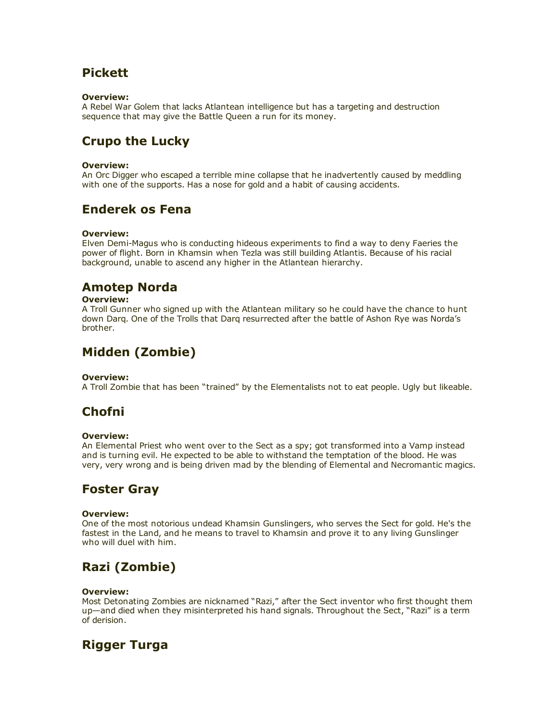# Pickett

### Overview:

A Rebel War Golem that lacks Atlantean intelligence but has a targeting and destruction sequence that may give the Battle Queen a run for its money.

# Crupo the Lucky

### Overview:

An Orc Digger who escaped a terrible mine collapse that he inadvertently caused by meddling with one of the supports. Has a nose for gold and a habit of causing accidents.

# Enderek os Fena

### Overview:

Elven Demi-Magus who is conducting hideous experiments to find a way to deny Faeries the power of flight. Born in Khamsin when Tezla was still building Atlantis. Because of his racial background, unable to ascend any higher in the Atlantean hierarchy.

# Amotep Norda

### Overview:

A Troll Gunner who signed up with the Atlantean military so he could have the chance to hunt down Darq. One of the Trolls that Darq resurrected after the battle of Ashon Rye was Norda's brother.

# Midden (Zombie)

### Overview:

A Troll Zombie that has been "trained" by the Elementalists not to eat people. Ugly but likeable.

# Chofni

#### Overview:

An Elemental Priest who went over to the Sect as a spy; got transformed into a Vamp instead and is turning evil. He expected to be able to withstand the temptation of the blood. He was very, very wrong and is being driven mad by the blending of Elemental and Necromantic magics.

# Foster Gray

#### Overview:

One of the most notorious undead Khamsin Gunslingers, who serves the Sect for gold. He's the fastest in the Land, and he means to travel to Khamsin and prove it to any living Gunslinger who will duel with him.

# Razi (Zombie)

#### Overview:

Most Detonating Zombies are nicknamed "Razi," after the Sect inventor who first thought them up—and died when they misinterpreted his hand signals. Throughout the Sect, "Razi" is a term of derision.

# Rigger Turga